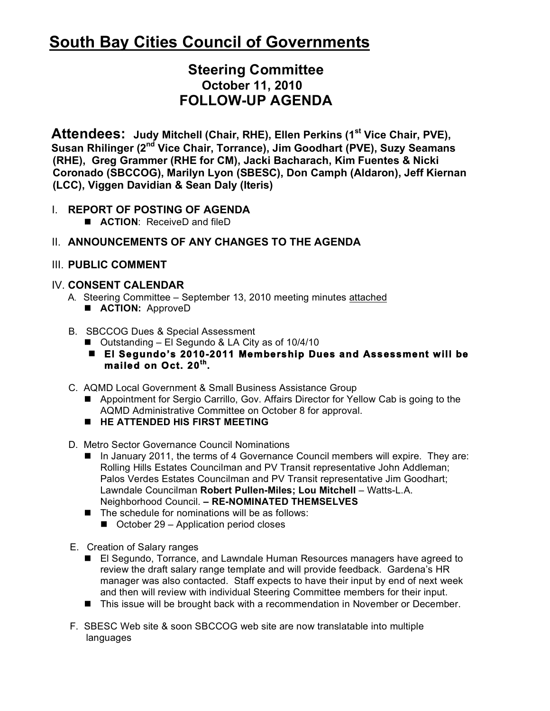# **South Bay Cities Council of Governments**

# **Steering Committee October 11, 2010 FOLLOW-UP AGENDA**

 **Attendees:** Judy Mitchell (Chair, RHE), Ellen Perkins (1<sup>st</sup> Vice Chair, PVE),  **Susan Rhilinger (2nd Vice Chair, Torrance), Jim Goodhart (PVE), Suzy Seamans (RHE), Greg Grammer (RHE for CM), Jacki Bacharach, Kim Fuentes & Nicki Coronado (SBCCOG), Marilyn Lyon (SBESC), Don Camph (Aldaron), Jeff Kiernan (LCC), Viggen Davidian & Sean Daly (Iteris)**

# I. **REPORT OF POSTING OF AGENDA**

■ **ACTION:** ReceiveD and fileD

# II. **ANNOUNCEMENTS OF ANY CHANGES TO THE AGENDA**

## III. **PUBLIC COMMENT**

## IV. **CONSENT CALENDAR**

- A. Steering Committee September 13, 2010 meeting minutes attached **ACTION: ApproveD**
- B. SBCCOG Dues & Special Assessment
	- Outstanding El Segundo & LA City as of 10/4/10
	- **El Segundo's 2010-2011 Membership Dues and Assessment will be mailed on Oct. 20th.**
- C. AQMD Local Government & Small Business Assistance Group
	- Appointment for Sergio Carrillo, Gov. Affairs Director for Yellow Cab is going to the AQMD Administrative Committee on October 8 for approval.
	- **HE ATTENDED HIS FIRST MEETING**
- D. Metro Sector Governance Council Nominations
	- In January 2011, the terms of 4 Governance Council members will expire. They are: Rolling Hills Estates Councilman and PV Transit representative John Addleman; Palos Verdes Estates Councilman and PV Transit representative Jim Goodhart; Lawndale Councilman **Robert Pullen-Miles; Lou Mitchell** – Watts-L.A. Neighborhood Council. **– RE-NOMINATED THEMSELVES**
	- $\blacksquare$  The schedule for nominations will be as follows:
		- October 29 Application period closes
- E. Creation of Salary ranges
	- El Segundo, Torrance, and Lawndale Human Resources managers have agreed to review the draft salary range template and will provide feedback. Gardena's HR manager was also contacted. Staff expects to have their input by end of next week and then will review with individual Steering Committee members for their input.
	- This issue will be brought back with a recommendation in November or December.
- F. SBESC Web site & soon SBCCOG web site are now translatable into multiple languages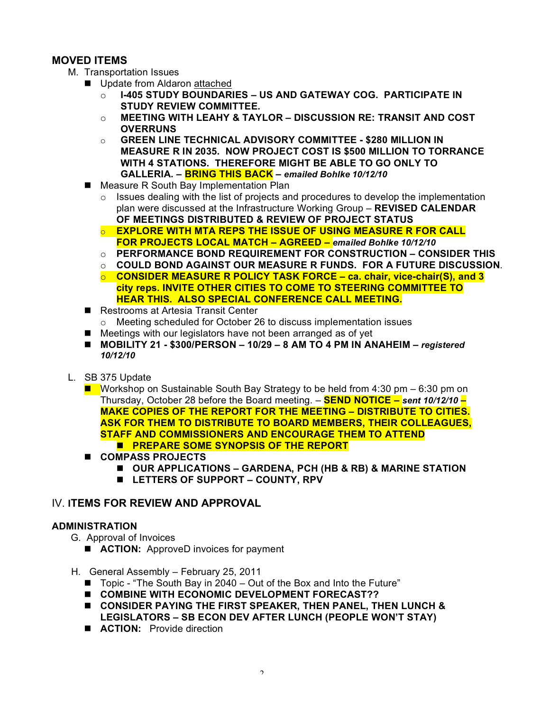#### **MOVED ITEMS**

- M. Transportation Issues
	- Update from Aldaron attached
		- o **I-405 STUDY BOUNDARIES US AND GATEWAY COG. PARTICIPATE IN STUDY REVIEW COMMITTEE.**
		- o **MEETING WITH LEAHY & TAYLOR DISCUSSION RE: TRANSIT AND COST OVERRUNS**
		- o **GREEN LINE TECHNICAL ADVISORY COMMITTEE \$280 MILLION IN MEASURE R IN 2035. NOW PROJECT COST IS \$500 MILLION TO TORRANCE WITH 4 STATIONS. THEREFORE MIGHT BE ABLE TO GO ONLY TO GALLERIA. – BRING THIS BACK –** *emailed Bohlke 10/12/10*
	- Measure R South Bay Implementation Plan
		- $\circ$  Issues dealing with the list of projects and procedures to develop the implementation plan were discussed at the Infrastructure Working Group – **REVISED CALENDAR OF MEETINGS DISTRIBUTED & REVIEW OF PROJECT STATUS**
		- o **EXPLORE WITH MTA REPS THE ISSUE OF USING MEASURE R FOR CALL FOR PROJECTS LOCAL MATCH – AGREED –** *emailed Bohlke 10/12/10*
		- o **PERFORMANCE BOND REQUIREMENT FOR CONSTRUCTION CONSIDER THIS**
		- o **COULD BOND AGAINST OUR MEASURE R FUNDS. FOR A FUTURE DISCUSSION**.
		- o **CONSIDER MEASURE R POLICY TASK FORCE ca. chair, vice-chair(S), and 3 city reps. INVITE OTHER CITIES TO COME TO STEERING COMMITTEE TO HEAR THIS. ALSO SPECIAL CONFERENCE CALL MEETING.**
	- Restrooms at Artesia Transit Center
		- o Meeting scheduled for October 26 to discuss implementation issues
	- Meetings with our legislators have not been arranged as of yet
	- **MOBILITY 21 \$300/PERSON 10/29 8 AM TO 4 PM IN ANAHEIM –** *registered 10/12/10*
- L. SB 375 Update
	- Workshop on Sustainable South Bay Strategy to be held from 4:30 pm 6:30 pm on Thursday, October 28 before the Board meeting. – **SEND NOTICE –** *sent 10/12/10* **– MAKE COPIES OF THE REPORT FOR THE MEETING – DISTRIBUTE TO CITIES. ASK FOR THEM TO DISTRIBUTE TO BOARD MEMBERS, THEIR COLLEAGUES, STAFF AND COMMISSIONERS AND ENCOURAGE THEM TO ATTEND PREPARE SOME SYNOPSIS OF THE REPORT**
	- **COMPASS PROJECTS** 
		- **OUR APPLICATIONS GARDENA, PCH (HB & RB) & MARINE STATION**
		- **LETTERS OF SUPPORT COUNTY, RPV**

#### IV. **ITEMS FOR REVIEW AND APPROVAL**

#### **ADMINISTRATION**

- G. Approval of Invoices
	- **ACTION:** ApproveD invoices for payment
- H. General Assembly February 25, 2011
	- $\blacksquare$  Topic "The South Bay in 2040 Out of the Box and Into the Future"
	- **COMBINE WITH ECONOMIC DEVELOPMENT FORECAST??**
	- **CONSIDER PAYING THE FIRST SPEAKER, THEN PANEL, THEN LUNCH & LEGISLATORS – SB ECON DEV AFTER LUNCH (PEOPLE WON'T STAY)**
	- **ACTION:** Provide direction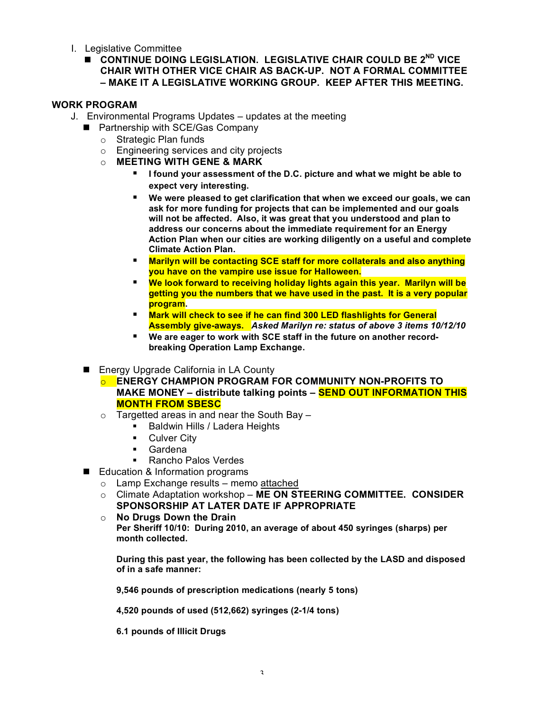- I. Legislative Committee
	- **E** CONTINUE DOING LEGISLATION. LEGISLATIVE CHAIR COULD BE 2<sup>ND</sup> VICE **CHAIR WITH OTHER VICE CHAIR AS BACK-UP. NOT A FORMAL COMMITTEE – MAKE IT A LEGISLATIVE WORKING GROUP. KEEP AFTER THIS MEETING.**

#### **WORK PROGRAM**

- J. Environmental Programs Updates updates at the meeting
	- **Partnership with SCE/Gas Company** 
		- o Strategic Plan funds
		- o Engineering services and city projects
		- o **MEETING WITH GENE & MARK**
			- **I** found your assessment of the D.C. picture and what we might be able to **expect very interesting.**
			- **We were pleased to get clarification that when we exceed our goals, we can ask for more funding for projects that can be implemented and our goals will not be affected. Also, it was great that you understood and plan to address our concerns about the immediate requirement for an Energy Action Plan when our cities are working diligently on a useful and complete Climate Action Plan.**
			- **Marilyn will be contacting SCE staff for more collaterals and also anything you have on the vampire use issue for Halloween.**
			- **We look forward to receiving holiday lights again this year. Marilyn will be getting you the numbers that we have used in the past. It is a very popular program.**
			- Mark will check to see if he can find 300 LED flashlights for General **Assembly give-aways.** *Asked Marilyn re: status of above 3 items 10/12/10*
			- We are eager to work with SCE staff in the future on another record**breaking Operation Lamp Exchange.**
	- Energy Upgrade California in LA County
		- o **ENERGY CHAMPION PROGRAM FOR COMMUNITY NON-PROFITS TO MAKE MONEY – distribute talking points – SEND OUT INFORMATION THIS MONTH FROM SBESC**
		- $\circ$  Targetted areas in and near the South Bay  $-$ 
			- **Baldwin Hills / Ladera Heights**
			- **Culver City**
			- **Gardena**
			- Rancho Palos Verdes
	- Education & Information programs
		- o Lamp Exchange results memo attached
		- o Climate Adaptation workshop **ME ON STEERING COMMITTEE. CONSIDER SPONSORSHIP AT LATER DATE IF APPROPRIATE**
		- o **No Drugs Down the Drain Per Sheriff 10/10: During 2010, an average of about 450 syringes (sharps) per month collected.**

**During this past year, the following has been collected by the LASD and disposed of in a safe manner:**

**9,546 pounds of prescription medications (nearly 5 tons)**

**4,520 pounds of used (512,662) syringes (2-1/4 tons)**

**6.1 pounds of Illicit Drugs**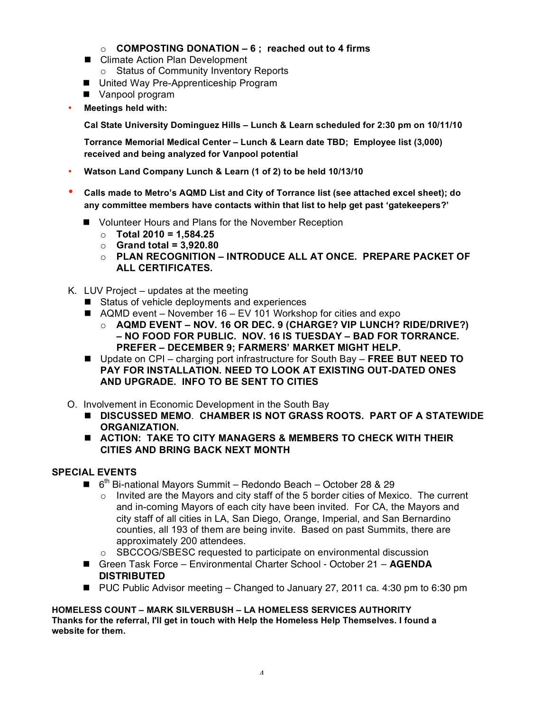- o **COMPOSTING DONATION 6 ; reached out to 4 firms**
- Climate Action Plan Development o Status of Community Inventory Reports
- United Way Pre-Apprenticeship Program
- **N** Vanpool program
- **Meetings held with:**

**Cal State University Dominguez Hills – Lunch & Learn scheduled for 2:30 pm on 10/11/10**

**Torrance Memorial Medical Center – Lunch & Learn date TBD; Employee list (3,000) received and being analyzed for Vanpool potential**

- **Watson Land Company Lunch & Learn (1 of 2) to be held 10/13/10**
- **Calls made to Metro's AQMD List and City of Torrance list (see attached excel sheet); do any committee members have contacts within that list to help get past 'gatekeepers?'**
	- Volunteer Hours and Plans for the November Reception
		- o **Total 2010 = 1,584.25**
		- o **Grand total = 3,920.80**
		- o **PLAN RECOGNITION INTRODUCE ALL AT ONCE. PREPARE PACKET OF ALL CERTIFICATES.**
- K. LUV Project updates at the meeting
	- Status of vehicle deployments and experiences
	- $\blacksquare$  AQMD event November 16 EV 101 Workshop for cities and expo
		- o **AQMD EVENT NOV. 16 OR DEC. 9 (CHARGE? VIP LUNCH? RIDE/DRIVE?) – NO FOOD FOR PUBLIC. NOV. 16 IS TUESDAY – BAD FOR TORRANCE. PREFER – DECEMBER 9; FARMERS' MARKET MIGHT HELP.**
	- Update on CPI charging port infrastructure for South Bay **FREE BUT NEED TO PAY FOR INSTALLATION. NEED TO LOOK AT EXISTING OUT-DATED ONES AND UPGRADE. INFO TO BE SENT TO CITIES**
- O. Involvement in Economic Development in the South Bay
	- **DISCUSSED MEMO**. **CHAMBER IS NOT GRASS ROOTS. PART OF A STATEWIDE ORGANIZATION.**
	- **ACTION: TAKE TO CITY MANAGERS & MEMBERS TO CHECK WITH THEIR CITIES AND BRING BACK NEXT MONTH**

#### **SPECIAL EVENTS**

- $\blacksquare$  6<sup>th</sup> Bi-national Mayors Summit Redondo Beach October 28 & 29
	- $\circ$  Invited are the Mayors and city staff of the 5 border cities of Mexico. The current and in-coming Mayors of each city have been invited. For CA, the Mayors and city staff of all cities in LA, San Diego, Orange, Imperial, and San Bernardino counties, all 193 of them are being invite. Based on past Summits, there are approximately 200 attendees.
	- o SBCCOG/SBESC requested to participate on environmental discussion
- Green Task Force Environmental Charter School October 21 **AGENDA DISTRIBUTED**
- PUC Public Advisor meeting Changed to January 27, 2011 ca. 4:30 pm to 6:30 pm

**HOMELESS COUNT – MARK SILVERBUSH – LA HOMELESS SERVICES AUTHORITY Thanks for the referral, I'll get in touch with Help the Homeless Help Themselves. I found a website for them.**